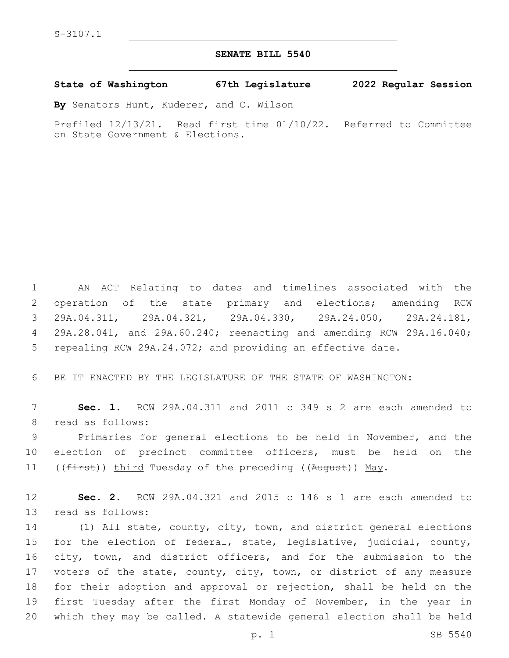S-3107.1

## **SENATE BILL 5540**

## **State of Washington 67th Legislature 2022 Regular Session**

**By** Senators Hunt, Kuderer, and C. Wilson

Prefiled 12/13/21. Read first time 01/10/22. Referred to Committee on State Government & Elections.

 AN ACT Relating to dates and timelines associated with the operation of the state primary and elections; amending RCW 29A.04.311, 29A.04.321, 29A.04.330, 29A.24.050, 29A.24.181, 29A.28.041, and 29A.60.240; reenacting and amending RCW 29A.16.040; repealing RCW 29A.24.072; and providing an effective date.

BE IT ENACTED BY THE LEGISLATURE OF THE STATE OF WASHINGTON:

 **Sec. 1.** RCW 29A.04.311 and 2011 c 349 s 2 are each amended to 8 read as follows:

 Primaries for general elections to be held in November, and the election of precinct committee officers, must be held on the 11 ((first)) third Tuesday of the preceding ((August)) May.

 **Sec. 2.** RCW 29A.04.321 and 2015 c 146 s 1 are each amended to 13 read as follows:

 (1) All state, county, city, town, and district general elections for the election of federal, state, legislative, judicial, county, city, town, and district officers, and for the submission to the voters of the state, county, city, town, or district of any measure for their adoption and approval or rejection, shall be held on the first Tuesday after the first Monday of November, in the year in which they may be called. A statewide general election shall be held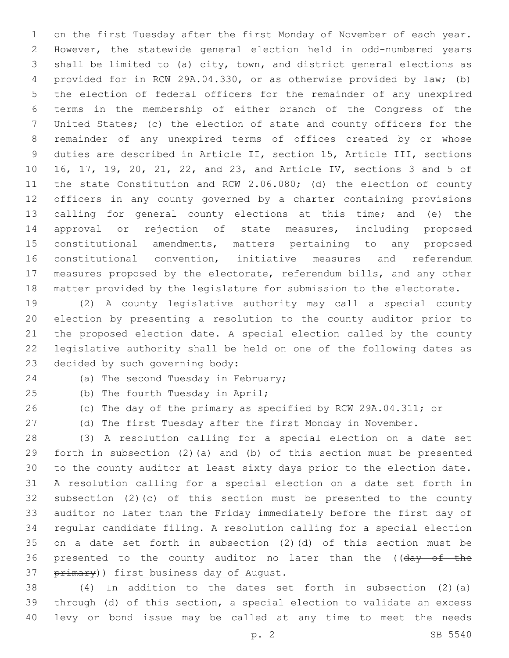on the first Tuesday after the first Monday of November of each year. However, the statewide general election held in odd-numbered years shall be limited to (a) city, town, and district general elections as provided for in RCW 29A.04.330, or as otherwise provided by law; (b) the election of federal officers for the remainder of any unexpired terms in the membership of either branch of the Congress of the United States; (c) the election of state and county officers for the remainder of any unexpired terms of offices created by or whose duties are described in Article II, section 15, Article III, sections 16, 17, 19, 20, 21, 22, and 23, and Article IV, sections 3 and 5 of the state Constitution and RCW 2.06.080; (d) the election of county officers in any county governed by a charter containing provisions calling for general county elections at this time; and (e) the approval or rejection of state measures, including proposed constitutional amendments, matters pertaining to any proposed constitutional convention, initiative measures and referendum measures proposed by the electorate, referendum bills, and any other matter provided by the legislature for submission to the electorate.

 (2) A county legislative authority may call a special county election by presenting a resolution to the county auditor prior to the proposed election date. A special election called by the county legislative authority shall be held on one of the following dates as 23 decided by such governing body:

24 (a) The second Tuesday in February;

- 
- 

25 (b) The fourth Tuesday in April;

(c) The day of the primary as specified by RCW 29A.04.311; or

(d) The first Tuesday after the first Monday in November.

 (3) A resolution calling for a special election on a date set forth in subsection (2)(a) and (b) of this section must be presented to the county auditor at least sixty days prior to the election date. A resolution calling for a special election on a date set forth in subsection (2)(c) of this section must be presented to the county auditor no later than the Friday immediately before the first day of regular candidate filing. A resolution calling for a special election on a date set forth in subsection (2)(d) of this section must be 36 presented to the county auditor no later than the ((day of the 37 primary)) first business day of August.

 (4) In addition to the dates set forth in subsection (2)(a) through (d) of this section, a special election to validate an excess levy or bond issue may be called at any time to meet the needs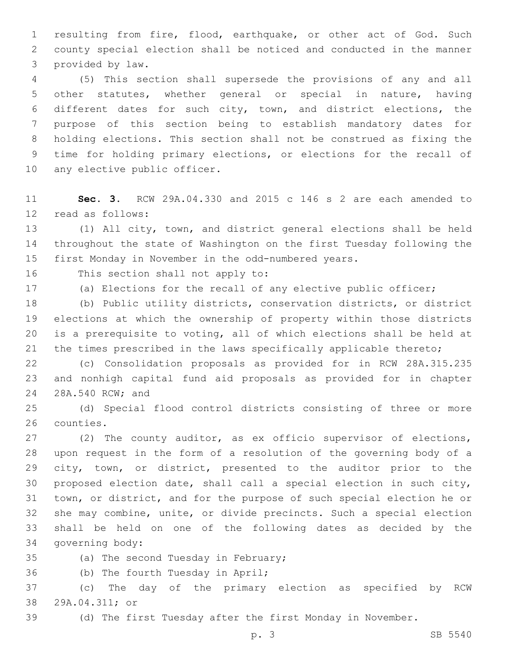resulting from fire, flood, earthquake, or other act of God. Such county special election shall be noticed and conducted in the manner 3 provided by law.

 (5) This section shall supersede the provisions of any and all other statutes, whether general or special in nature, having different dates for such city, town, and district elections, the purpose of this section being to establish mandatory dates for holding elections. This section shall not be construed as fixing the time for holding primary elections, or elections for the recall of 10 any elective public officer.

 **Sec. 3.** RCW 29A.04.330 and 2015 c 146 s 2 are each amended to 12 read as follows:

 (1) All city, town, and district general elections shall be held throughout the state of Washington on the first Tuesday following the first Monday in November in the odd-numbered years.

16 This section shall not apply to:

(a) Elections for the recall of any elective public officer;

 (b) Public utility districts, conservation districts, or district elections at which the ownership of property within those districts is a prerequisite to voting, all of which elections shall be held at the times prescribed in the laws specifically applicable thereto;

 (c) Consolidation proposals as provided for in RCW 28A.315.235 and nonhigh capital fund aid proposals as provided for in chapter 24 28A.540 RCW; and

 (d) Special flood control districts consisting of three or more 26 counties.

 (2) The county auditor, as ex officio supervisor of elections, upon request in the form of a resolution of the governing body of a city, town, or district, presented to the auditor prior to the proposed election date, shall call a special election in such city, town, or district, and for the purpose of such special election he or she may combine, unite, or divide precincts. Such a special election shall be held on one of the following dates as decided by the 34 governing body:

35 (a) The second Tuesday in February;

36 (b) The fourth Tuesday in April;

 (c) The day of the primary election as specified by RCW 38 29A.04.311; or

(d) The first Tuesday after the first Monday in November.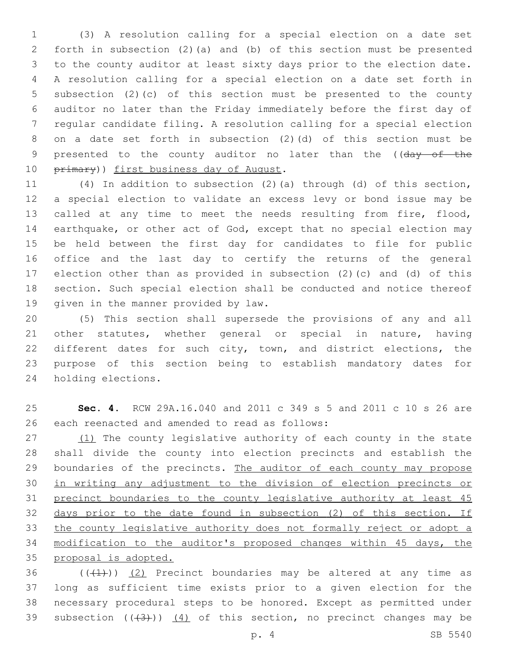(3) A resolution calling for a special election on a date set forth in subsection (2)(a) and (b) of this section must be presented to the county auditor at least sixty days prior to the election date. A resolution calling for a special election on a date set forth in subsection (2)(c) of this section must be presented to the county auditor no later than the Friday immediately before the first day of regular candidate filing. A resolution calling for a special election on a date set forth in subsection (2)(d) of this section must be 9 presented to the county auditor no later than the ((day of the 10 primary)) first business day of August.

 (4) In addition to subsection (2)(a) through (d) of this section, a special election to validate an excess levy or bond issue may be called at any time to meet the needs resulting from fire, flood, earthquake, or other act of God, except that no special election may be held between the first day for candidates to file for public office and the last day to certify the returns of the general election other than as provided in subsection (2)(c) and (d) of this section. Such special election shall be conducted and notice thereof 19 given in the manner provided by law.

 (5) This section shall supersede the provisions of any and all other statutes, whether general or special in nature, having different dates for such city, town, and district elections, the purpose of this section being to establish mandatory dates for 24 holding elections.

 **Sec. 4.** RCW 29A.16.040 and 2011 c 349 s 5 and 2011 c 10 s 26 are 26 each reenacted and amended to read as follows:

27 (1) The county legislative authority of each county in the state shall divide the county into election precincts and establish the 29 boundaries of the precincts. The auditor of each county may propose in writing any adjustment to the division of election precincts or precinct boundaries to the county legislative authority at least 45 days prior to the date found in subsection (2) of this section. If the county legislative authority does not formally reject or adopt a modification to the auditor's proposed changes within 45 days, the proposal is adopted.

 $((+1))$   $(2)$  Precinct boundaries may be altered at any time as long as sufficient time exists prior to a given election for the necessary procedural steps to be honored. Except as permitted under 39 subsection  $((+3+))$   $(4)$  of this section, no precinct changes may be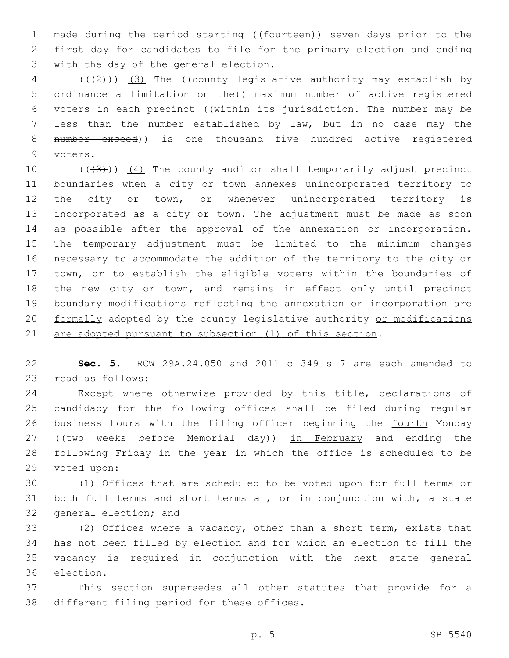1 made during the period starting ((fourteen)) seven days prior to the 2 first day for candidates to file for the primary election and ending 3 with the day of the general election.

 $(1 + 2)(1 + 3)$  The ((county legislative authority may establish by 5 ordinance a limitation on the)) maximum number of active registered 6 voters in each precinct ((within its jurisdiction. The number may be 7 less than the number established by law, but in no case may the 8 number exceed)) is one thousand five hundred active registered 9 voters.

 $((+3+))$   $(4)$  The county auditor shall temporarily adjust precinct boundaries when a city or town annexes unincorporated territory to 12 the city or town, or whenever unincorporated territory is incorporated as a city or town. The adjustment must be made as soon as possible after the approval of the annexation or incorporation. The temporary adjustment must be limited to the minimum changes necessary to accommodate the addition of the territory to the city or town, or to establish the eligible voters within the boundaries of the new city or town, and remains in effect only until precinct boundary modifications reflecting the annexation or incorporation are 20 formally adopted by the county legislative authority or modifications are adopted pursuant to subsection (1) of this section.

22 **Sec. 5.** RCW 29A.24.050 and 2011 c 349 s 7 are each amended to 23 read as follows:

24 Except where otherwise provided by this title, declarations of 25 candidacy for the following offices shall be filed during regular 26 business hours with the filing officer beginning the fourth Monday 27 ((two weeks before Memorial day)) in February and ending the 28 following Friday in the year in which the office is scheduled to be 29 voted upon:

30 (1) Offices that are scheduled to be voted upon for full terms or 31 both full terms and short terms at, or in conjunction with, a state 32 general election; and

 (2) Offices where a vacancy, other than a short term, exists that has not been filled by election and for which an election to fill the vacancy is required in conjunction with the next state general 36 election.

37 This section supersedes all other statutes that provide for a 38 different filing period for these offices.

p. 5 SB 5540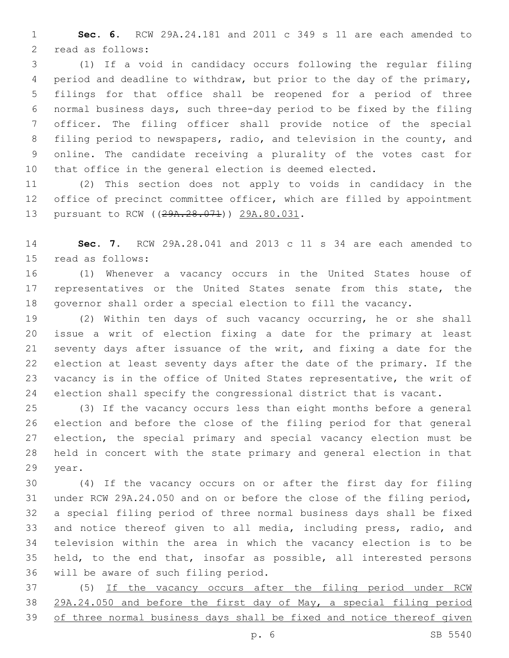**Sec. 6.** RCW 29A.24.181 and 2011 c 349 s 11 are each amended to 2 read as follows:

 (1) If a void in candidacy occurs following the regular filing period and deadline to withdraw, but prior to the day of the primary, filings for that office shall be reopened for a period of three normal business days, such three-day period to be fixed by the filing officer. The filing officer shall provide notice of the special filing period to newspapers, radio, and television in the county, and online. The candidate receiving a plurality of the votes cast for that office in the general election is deemed elected.

 (2) This section does not apply to voids in candidacy in the office of precinct committee officer, which are filled by appointment 13 pursuant to RCW ((29A.28.071)) 29A.80.031.

 **Sec. 7.** RCW 29A.28.041 and 2013 c 11 s 34 are each amended to 15 read as follows:

 (1) Whenever a vacancy occurs in the United States house of representatives or the United States senate from this state, the governor shall order a special election to fill the vacancy.

 (2) Within ten days of such vacancy occurring, he or she shall issue a writ of election fixing a date for the primary at least seventy days after issuance of the writ, and fixing a date for the election at least seventy days after the date of the primary. If the vacancy is in the office of United States representative, the writ of election shall specify the congressional district that is vacant.

 (3) If the vacancy occurs less than eight months before a general election and before the close of the filing period for that general election, the special primary and special vacancy election must be held in concert with the state primary and general election in that 29 year.

 (4) If the vacancy occurs on or after the first day for filing under RCW 29A.24.050 and on or before the close of the filing period, a special filing period of three normal business days shall be fixed and notice thereof given to all media, including press, radio, and television within the area in which the vacancy election is to be held, to the end that, insofar as possible, all interested persons 36 will be aware of such filing period.

 (5) If the vacancy occurs after the filing period under RCW 29A.24.050 and before the first day of May, a special filing period of three normal business days shall be fixed and notice thereof given